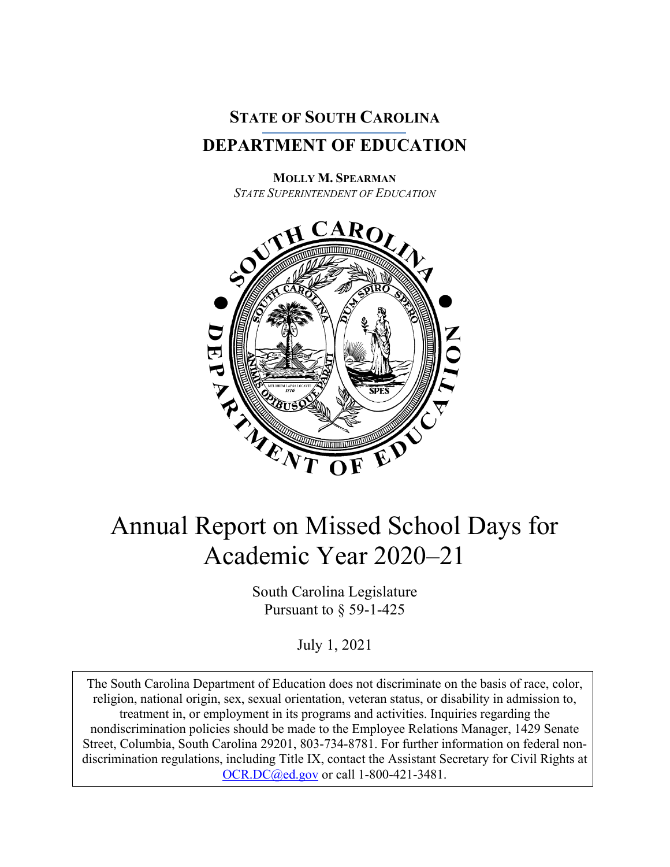

**MOLLY M. SPEARMAN** *STATE SUPERINTENDENT OF EDUCATION*



## Annual Report on Missed School Days for Academic Year 2020–21

South Carolina Legislature Pursuant to § 59-1-425

July 1, 2021

The South Carolina Department of Education does not discriminate on the basis of race, color, religion, national origin, sex, sexual orientation, veteran status, or disability in admission to, treatment in, or employment in its programs and activities. Inquiries regarding the nondiscrimination policies should be made to the Employee Relations Manager, 1429 Senate Street, Columbia, South Carolina 29201, 803-734-8781. For further information on federal nondiscrimination regulations, including Title IX, contact the Assistant Secretary for Civil Rights at [OCR.DC@ed.gov](mailto:OCR.DC@ed.gov) or call 1-800-421-3481.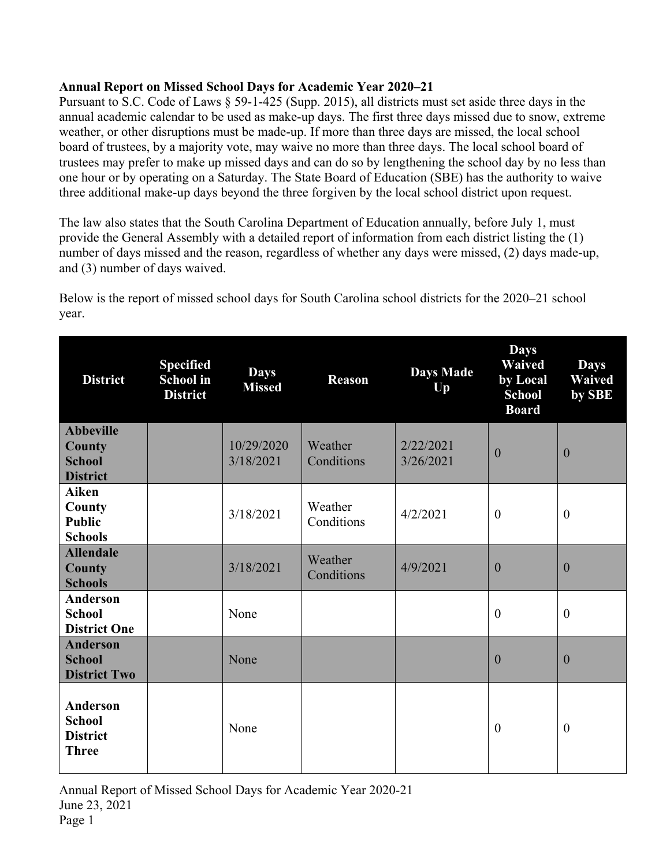## **Annual Report on Missed School Days for Academic Year 2020–21**

Pursuant to S.C. Code of Laws § 59-1-425 (Supp. 2015), all districts must set aside three days in the annual academic calendar to be used as make-up days. The first three days missed due to snow, extreme weather, or other disruptions must be made-up. If more than three days are missed, the local school board of trustees, by a majority vote, may waive no more than three days. The local school board of trustees may prefer to make up missed days and can do so by lengthening the school day by no less than one hour or by operating on a Saturday. The State Board of Education (SBE) has the authority to waive three additional make-up days beyond the three forgiven by the local school district upon request.

The law also states that the South Carolina Department of Education annually, before July 1, must provide the General Assembly with a detailed report of information from each district listing the (1) number of days missed and the reason, regardless of whether any days were missed, (2) days made-up, and (3) number of days waived.

**District Specified School in District Days Missed Reason Days Made Up Days Waived by Local School Board Days Waived by SBE Abbeville County School District** 10/29/2020 3/18/2021 **Weather Conditions** 2/22/2021  $\frac{2}{22/26/2021}$  0 0 **Aiken County Public Schools**  $3/18/2021$  Weather  $\begin{bmatrix} 4/2/2021 \\ 0 \end{bmatrix}$  0 0 **Allendale County Schools**  $3/18/2021$  Weather  $\begin{bmatrix} 4/9/2021 \\ 0 \end{bmatrix}$  0 0 **Anderson School District One** None  $\begin{vmatrix} 0 & 0 \\ 0 & 0 \end{vmatrix}$ **Anderson School District Two** None 0 0 **Anderson School District Three** None  $\begin{vmatrix} 0 & 0 \\ 0 & 0 \end{vmatrix}$ 

Below is the report of missed school days for South Carolina school districts for the 2020**–**21 school year.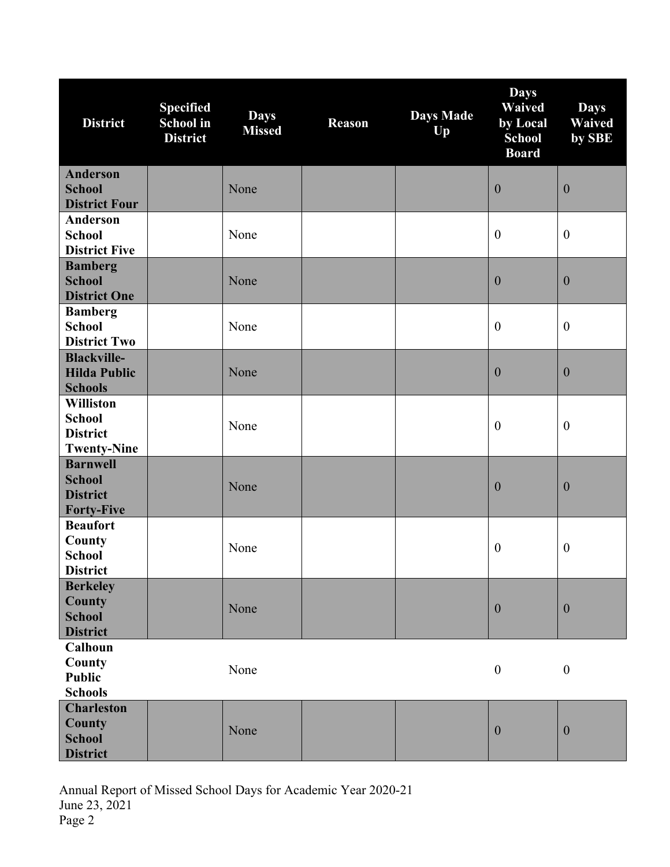| <b>District</b>                                                            | <b>Specified</b><br><b>School</b> in<br><b>District</b> | <b>Days</b><br><b>Missed</b> | <b>Reason</b> | <b>Days Made</b><br>Up | <b>Days</b><br><b>Waived</b><br>by Local<br><b>School</b><br><b>Board</b> | <b>Days</b><br><b>Waived</b><br>by SBE |
|----------------------------------------------------------------------------|---------------------------------------------------------|------------------------------|---------------|------------------------|---------------------------------------------------------------------------|----------------------------------------|
| <b>Anderson</b><br><b>School</b><br><b>District Four</b>                   |                                                         | None                         |               |                        | $\boldsymbol{0}$                                                          | $\boldsymbol{0}$                       |
| <b>Anderson</b><br><b>School</b><br><b>District Five</b>                   |                                                         | None                         |               |                        | $\boldsymbol{0}$                                                          | $\boldsymbol{0}$                       |
| <b>Bamberg</b><br><b>School</b><br><b>District One</b>                     |                                                         | None                         |               |                        | $\boldsymbol{0}$                                                          | $\mathbf{0}$                           |
| <b>Bamberg</b><br><b>School</b><br><b>District Two</b>                     |                                                         | None                         |               |                        | $\boldsymbol{0}$                                                          | $\boldsymbol{0}$                       |
| <b>Blackville-</b><br><b>Hilda Public</b><br><b>Schools</b>                |                                                         | None                         |               |                        | $\boldsymbol{0}$                                                          | $\boldsymbol{0}$                       |
| <b>Williston</b><br><b>School</b><br><b>District</b><br><b>Twenty-Nine</b> |                                                         | None                         |               |                        | $\boldsymbol{0}$                                                          | $\boldsymbol{0}$                       |
| <b>Barnwell</b><br><b>School</b><br><b>District</b><br><b>Forty-Five</b>   |                                                         | None                         |               |                        | $\boldsymbol{0}$                                                          | $\boldsymbol{0}$                       |
| <b>Beaufort</b><br>County<br><b>School</b><br><b>District</b>              |                                                         | None                         |               |                        | $\boldsymbol{0}$                                                          | $\boldsymbol{0}$                       |
| <b>Berkeley</b><br>County<br><b>School</b><br><b>District</b>              |                                                         | None                         |               |                        | $\boldsymbol{0}$                                                          | $\boldsymbol{0}$                       |
| Calhoun<br>County<br><b>Public</b><br><b>Schools</b>                       |                                                         | None                         |               |                        | $\boldsymbol{0}$                                                          | $\boldsymbol{0}$                       |
| <b>Charleston</b><br>County<br><b>School</b><br><b>District</b>            |                                                         | None                         |               |                        | $\boldsymbol{0}$                                                          | $\mathbf{0}$                           |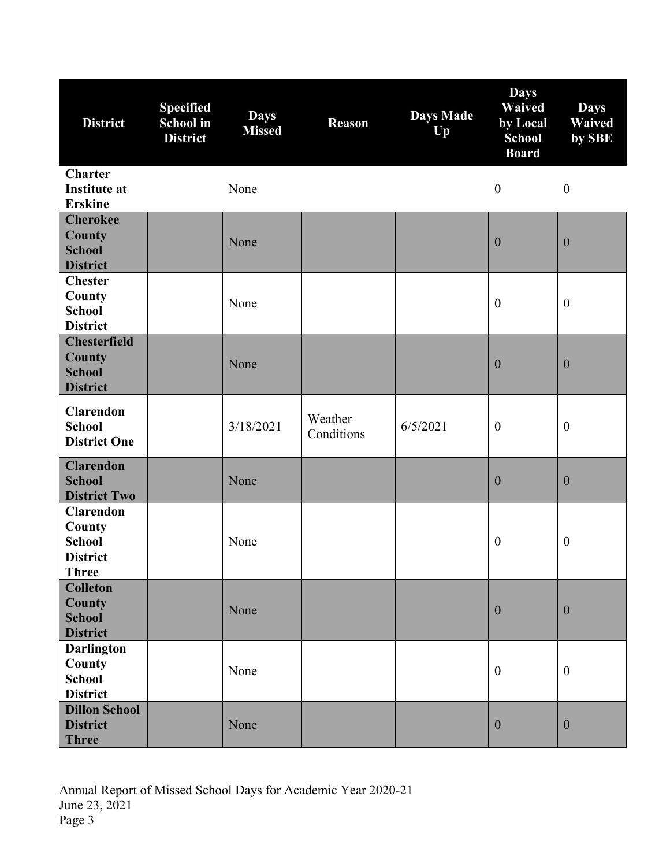| <b>District</b>                                                          | <b>Specified</b><br>School in<br><b>District</b> | <b>Days</b><br><b>Missed</b> | <b>Reason</b>         | <b>Days Made</b><br>Up | <b>Days</b><br><b>Waived</b><br>by Local<br><b>School</b><br><b>Board</b> | <b>Days</b><br><b>Waived</b><br>by SBE |
|--------------------------------------------------------------------------|--------------------------------------------------|------------------------------|-----------------------|------------------------|---------------------------------------------------------------------------|----------------------------------------|
| <b>Charter</b><br><b>Institute at</b><br><b>Erskine</b>                  |                                                  | None                         |                       |                        | $\boldsymbol{0}$                                                          | $\boldsymbol{0}$                       |
| <b>Cherokee</b><br><b>County</b><br><b>School</b><br><b>District</b>     |                                                  | None                         |                       |                        | $\boldsymbol{0}$                                                          | $\mathbf{0}$                           |
| <b>Chester</b><br>County<br><b>School</b><br><b>District</b>             |                                                  | None                         |                       |                        | $\boldsymbol{0}$                                                          | $\boldsymbol{0}$                       |
| <b>Chesterfield</b><br><b>County</b><br><b>School</b><br><b>District</b> |                                                  | None                         |                       |                        | $\boldsymbol{0}$                                                          | $\mathbf{0}$                           |
| <b>Clarendon</b><br><b>School</b><br><b>District One</b>                 |                                                  | 3/18/2021                    | Weather<br>Conditions | 6/5/2021               | $\boldsymbol{0}$                                                          | $\boldsymbol{0}$                       |
| <b>Clarendon</b><br><b>School</b><br><b>District Two</b>                 |                                                  | None                         |                       |                        | $\boldsymbol{0}$                                                          | $\boldsymbol{0}$                       |
| <b>Clarendon</b><br>County<br><b>School</b><br><b>District</b><br>Three  |                                                  | None                         |                       |                        | $\boldsymbol{0}$                                                          | $\boldsymbol{0}$                       |
| <b>Colleton</b><br><b>County</b><br><b>School</b><br><b>District</b>     |                                                  | None                         |                       |                        | $\boldsymbol{0}$                                                          | $\mathbf{0}$                           |
| <b>Darlington</b><br>County<br><b>School</b><br><b>District</b>          |                                                  | None                         |                       |                        | $\boldsymbol{0}$                                                          | $\mathbf{0}$                           |
| <b>Dillon School</b><br><b>District</b><br><b>Three</b>                  |                                                  | None                         |                       |                        | $\boldsymbol{0}$                                                          | $\mathbf{0}$                           |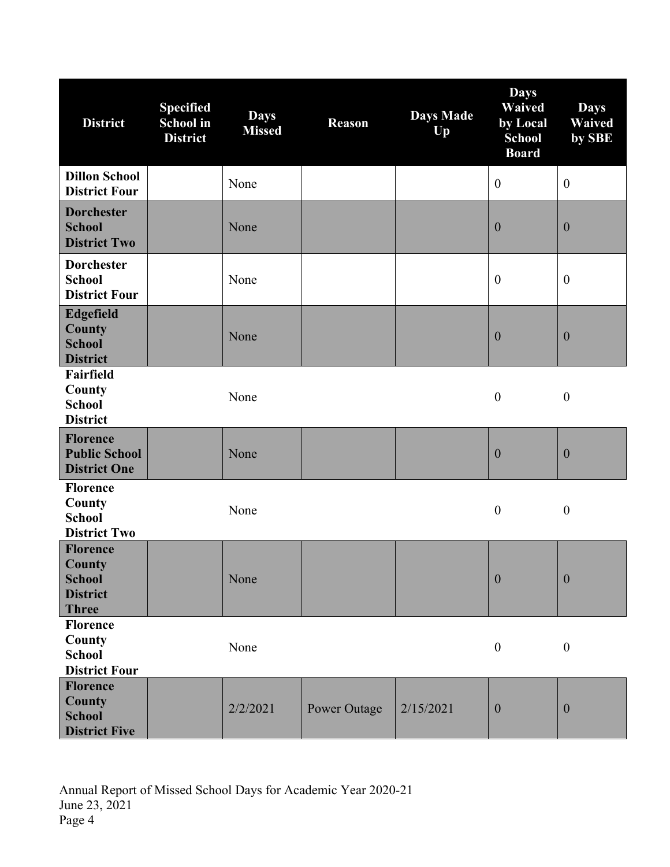| <b>District</b>                                                               | <b>Specified</b><br>School in<br><b>District</b> | <b>Days</b><br><b>Missed</b> | <b>Reason</b>       | <b>Days Made</b><br>Up | <b>Days</b><br>Waived<br>by Local<br><b>School</b><br><b>Board</b> | <b>Days</b><br><b>Waived</b><br>by SBE |
|-------------------------------------------------------------------------------|--------------------------------------------------|------------------------------|---------------------|------------------------|--------------------------------------------------------------------|----------------------------------------|
| <b>Dillon School</b><br><b>District Four</b>                                  |                                                  | None                         |                     |                        | $\boldsymbol{0}$                                                   | $\boldsymbol{0}$                       |
| <b>Dorchester</b><br><b>School</b><br><b>District Two</b>                     |                                                  | None                         |                     |                        | $\boldsymbol{0}$                                                   | $\mathbf{0}$                           |
| <b>Dorchester</b><br><b>School</b><br><b>District Four</b>                    |                                                  | None                         |                     |                        | $\boldsymbol{0}$                                                   | $\boldsymbol{0}$                       |
| <b>Edgefield</b><br><b>County</b><br><b>School</b><br><b>District</b>         |                                                  | None                         |                     |                        | $\boldsymbol{0}$                                                   | $\boldsymbol{0}$                       |
| <b>Fairfield</b><br>County<br><b>School</b><br><b>District</b>                |                                                  | None                         |                     |                        | $\boldsymbol{0}$                                                   | $\boldsymbol{0}$                       |
| <b>Florence</b><br><b>Public School</b><br><b>District One</b>                |                                                  | None                         |                     |                        | $\boldsymbol{0}$                                                   | $\boldsymbol{0}$                       |
| <b>Florence</b><br>County<br><b>School</b><br><b>District Two</b>             |                                                  | None                         |                     |                        | $\boldsymbol{0}$                                                   | $\boldsymbol{0}$                       |
| <b>Florence</b><br>County<br><b>School</b><br><b>District</b><br><b>Three</b> |                                                  | None                         |                     |                        | $\boldsymbol{0}$                                                   | $\boldsymbol{0}$                       |
| <b>Florence</b><br>County<br><b>School</b><br><b>District Four</b>            |                                                  | None                         |                     |                        | $\boldsymbol{0}$                                                   | $\boldsymbol{0}$                       |
| <b>Florence</b><br><b>County</b><br><b>School</b><br><b>District Five</b>     |                                                  | 2/2/2021                     | <b>Power Outage</b> | 2/15/2021              | $\boldsymbol{0}$                                                   | $\theta$                               |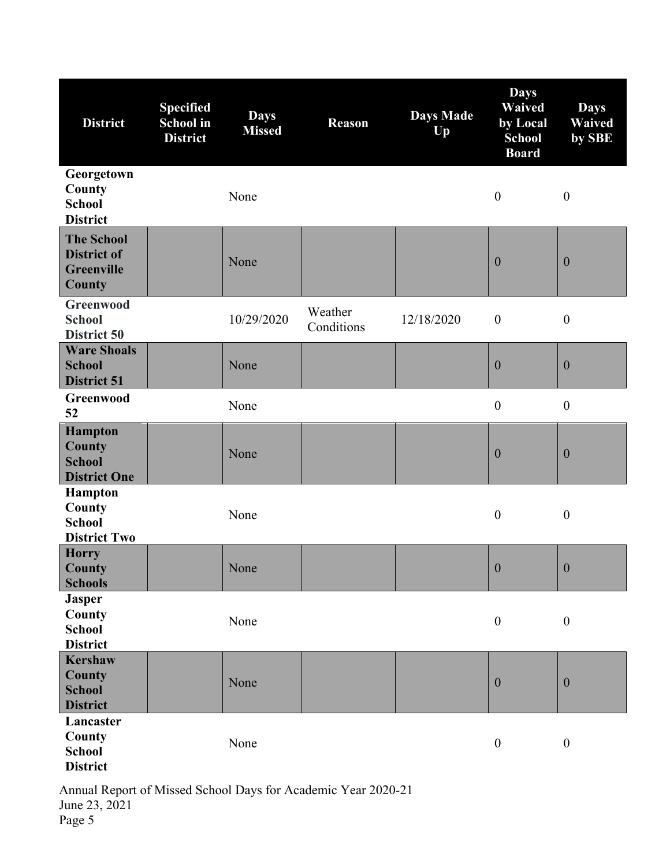| <b>District</b>                                                         | <b>Specified</b><br><b>School</b> in<br><b>District</b> | <b>Days</b><br><b>Missed</b> | <b>Reason</b>         | <b>Days Made</b><br>Up | <b>Days</b><br><b>Waived</b><br>by Local<br><b>School</b><br><b>Board</b> | <b>Days</b><br><b>Waived</b><br>by SBE |
|-------------------------------------------------------------------------|---------------------------------------------------------|------------------------------|-----------------------|------------------------|---------------------------------------------------------------------------|----------------------------------------|
| Georgetown<br>County<br><b>School</b><br><b>District</b>                |                                                         | None                         |                       |                        | $\boldsymbol{0}$                                                          | $\boldsymbol{0}$                       |
| <b>The School</b><br><b>District of</b><br><b>Greenville</b><br>County  |                                                         | None                         |                       |                        | $\boldsymbol{0}$                                                          | $\boldsymbol{0}$                       |
| Greenwood<br><b>School</b><br>District 50                               |                                                         | 10/29/2020                   | Weather<br>Conditions | 12/18/2020             | $\boldsymbol{0}$                                                          | $\boldsymbol{0}$                       |
| <b>Ware Shoals</b><br><b>School</b><br><b>District 51</b>               |                                                         | None                         |                       |                        | $\boldsymbol{0}$                                                          | $\boldsymbol{0}$                       |
| Greenwood<br>52                                                         |                                                         | None                         |                       |                        | $\boldsymbol{0}$                                                          | $\boldsymbol{0}$                       |
| <b>Hampton</b><br><b>County</b><br><b>School</b><br><b>District One</b> |                                                         | None                         |                       |                        | $\boldsymbol{0}$                                                          | $\boldsymbol{0}$                       |
| <b>Hampton</b><br>County<br><b>School</b><br><b>District Two</b>        |                                                         | None                         |                       |                        | $\boldsymbol{0}$                                                          | $\boldsymbol{0}$                       |
| <b>Horry</b><br>County<br><b>Schools</b>                                |                                                         | None                         |                       |                        | $\boldsymbol{0}$                                                          | $\boldsymbol{0}$                       |
| <b>Jasper</b><br>County<br><b>School</b><br><b>District</b>             |                                                         | None                         |                       |                        | $\boldsymbol{0}$                                                          | $\boldsymbol{0}$                       |
| <b>Kershaw</b><br>County<br><b>School</b><br><b>District</b>            |                                                         | None                         |                       |                        | $\boldsymbol{0}$                                                          | $\boldsymbol{0}$                       |
| Lancaster<br>County<br><b>School</b><br><b>District</b>                 |                                                         | None                         |                       |                        | $\boldsymbol{0}$                                                          | $\boldsymbol{0}$                       |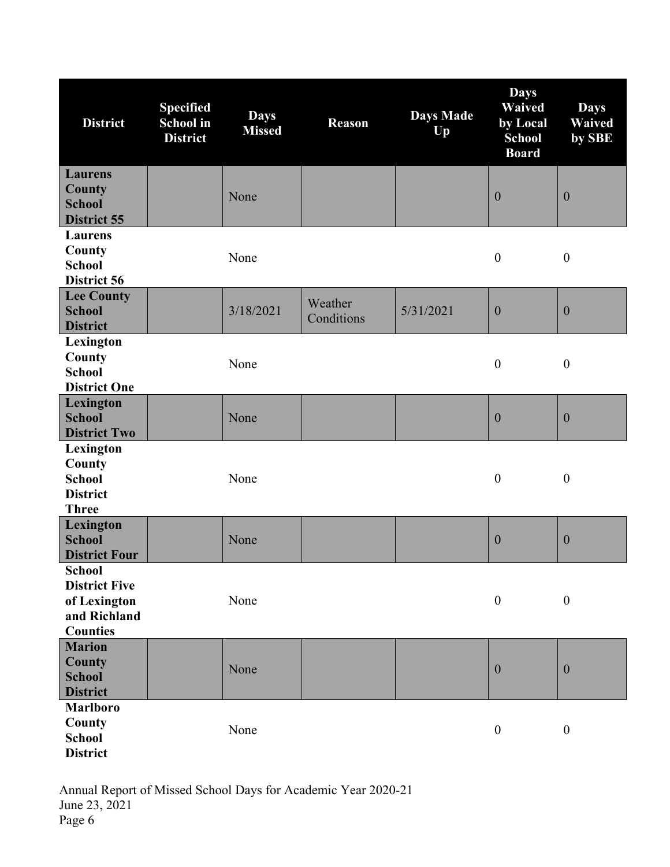| <b>District</b>                                                                   | <b>Specified</b><br><b>School</b> in<br><b>District</b> | <b>Days</b><br><b>Missed</b> | <b>Reason</b>         | <b>Days Made</b><br>Up | <b>Days</b><br><b>Waived</b><br>by Local<br><b>School</b><br><b>Board</b> | <b>Days</b><br>Waived<br>by SBE |
|-----------------------------------------------------------------------------------|---------------------------------------------------------|------------------------------|-----------------------|------------------------|---------------------------------------------------------------------------|---------------------------------|
| <b>Laurens</b><br>County<br><b>School</b><br>District 55                          |                                                         | None                         |                       |                        | $\mathbf{0}$                                                              | $\boldsymbol{0}$                |
| <b>Laurens</b><br>County<br><b>School</b><br>District 56                          |                                                         | None                         |                       |                        | $\boldsymbol{0}$                                                          | $\boldsymbol{0}$                |
| <b>Lee County</b><br><b>School</b><br><b>District</b>                             |                                                         | 3/18/2021                    | Weather<br>Conditions | 5/31/2021              | $\boldsymbol{0}$                                                          | $\boldsymbol{0}$                |
| Lexington<br>County<br><b>School</b><br><b>District One</b>                       |                                                         | None                         |                       |                        | $\boldsymbol{0}$                                                          | $\boldsymbol{0}$                |
| Lexington<br><b>School</b><br><b>District Two</b>                                 |                                                         | None                         |                       |                        | $\boldsymbol{0}$                                                          | $\boldsymbol{0}$                |
| Lexington<br>County<br><b>School</b><br><b>District</b><br><b>Three</b>           |                                                         | None                         |                       |                        | $\boldsymbol{0}$                                                          | $\boldsymbol{0}$                |
| Lexington<br><b>School</b><br><b>District Four</b>                                |                                                         | None                         |                       |                        | $\boldsymbol{0}$                                                          | $\boldsymbol{0}$                |
| School<br><b>District Five</b><br>of Lexington<br>and Richland<br><b>Counties</b> |                                                         | None                         |                       |                        | $\boldsymbol{0}$                                                          | $\boldsymbol{0}$                |
| <b>Marion</b><br><b>County</b><br><b>School</b><br><b>District</b>                |                                                         | None                         |                       |                        | $\boldsymbol{0}$                                                          | $\theta$                        |
| <b>Marlboro</b><br>County<br><b>School</b><br><b>District</b>                     |                                                         | None                         |                       |                        | $\boldsymbol{0}$                                                          | $\boldsymbol{0}$                |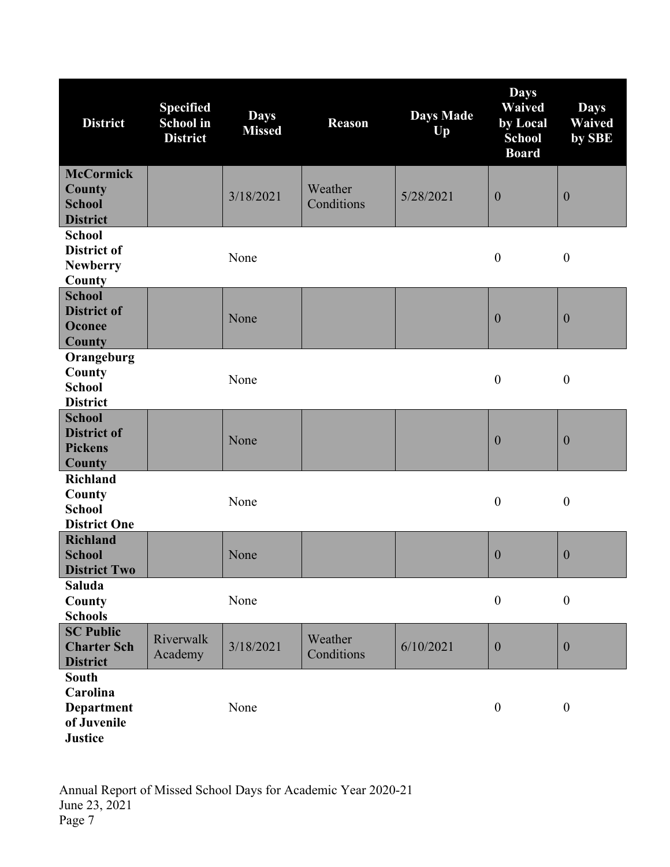| <b>District</b>                                                                | <b>Specified</b><br><b>School</b> in<br><b>District</b> | <b>Days</b><br><b>Missed</b> | <b>Reason</b>         | <b>Days Made</b><br>Up | <b>Days</b><br><b>Waived</b><br>by Local<br><b>School</b><br><b>Board</b> | <b>Days</b><br>Waived<br>by SBE |
|--------------------------------------------------------------------------------|---------------------------------------------------------|------------------------------|-----------------------|------------------------|---------------------------------------------------------------------------|---------------------------------|
| <b>McCormick</b><br>County<br><b>School</b><br><b>District</b>                 |                                                         | 3/18/2021                    | Weather<br>Conditions | 5/28/2021              | $\mathbf{0}$                                                              | $\mathbf{0}$                    |
| <b>School</b><br><b>District of</b><br><b>Newberry</b><br>County               |                                                         | None                         |                       |                        | $\boldsymbol{0}$                                                          | $\boldsymbol{0}$                |
| <b>School</b><br><b>District of</b><br>Oconee<br>County                        |                                                         | None                         |                       |                        | $\boldsymbol{0}$                                                          | $\boldsymbol{0}$                |
| Orangeburg<br>County<br><b>School</b><br><b>District</b>                       |                                                         | None                         |                       |                        | $\boldsymbol{0}$                                                          | $\boldsymbol{0}$                |
| <b>School</b><br><b>District of</b><br><b>Pickens</b><br><b>County</b>         |                                                         | None                         |                       |                        | $\boldsymbol{0}$                                                          | $\mathbf{0}$                    |
| <b>Richland</b><br>County<br><b>School</b><br><b>District One</b>              |                                                         | None                         |                       |                        | $\boldsymbol{0}$                                                          | $\boldsymbol{0}$                |
| <b>Richland</b><br><b>School</b><br><b>District Two</b>                        |                                                         | None                         |                       |                        | $\boldsymbol{0}$                                                          | $\mathbf{0}$                    |
| Saluda<br>County<br><b>Schools</b>                                             |                                                         | None                         |                       |                        | $\boldsymbol{0}$                                                          | $\boldsymbol{0}$                |
| <b>SC Public</b><br><b>Charter Sch</b><br><b>District</b>                      | Riverwalk<br>Academy                                    | 3/18/2021                    | Weather<br>Conditions | 6/10/2021              | $\boldsymbol{0}$                                                          | $\boldsymbol{0}$                |
| <b>South</b><br>Carolina<br><b>Department</b><br>of Juvenile<br><b>Justice</b> |                                                         | None                         |                       |                        | $\boldsymbol{0}$                                                          | $\boldsymbol{0}$                |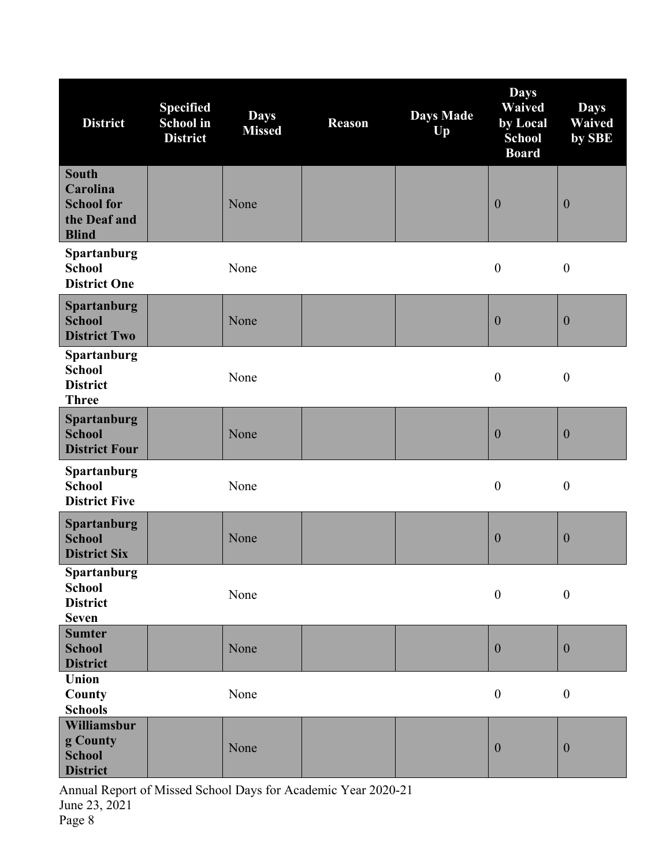| <b>District</b>                                                               | <b>Specified</b><br><b>School</b> in<br><b>District</b> | <b>Days</b><br><b>Missed</b> | <b>Reason</b> | <b>Days Made</b><br>Up | <b>Days</b><br><b>Waived</b><br>by Local<br><b>School</b><br><b>Board</b> | <b>Days</b><br><b>Waived</b><br>by SBE |
|-------------------------------------------------------------------------------|---------------------------------------------------------|------------------------------|---------------|------------------------|---------------------------------------------------------------------------|----------------------------------------|
| <b>South</b><br>Carolina<br><b>School for</b><br>the Deaf and<br><b>Blind</b> |                                                         | None                         |               |                        | $\boldsymbol{0}$                                                          | $\boldsymbol{0}$                       |
| Spartanburg<br><b>School</b><br><b>District One</b>                           |                                                         | None                         |               |                        | $\boldsymbol{0}$                                                          | $\boldsymbol{0}$                       |
| <b>Spartanburg</b><br><b>School</b><br><b>District Two</b>                    |                                                         | None                         |               |                        | $\boldsymbol{0}$                                                          | $\boldsymbol{0}$                       |
| Spartanburg<br><b>School</b><br><b>District</b><br><b>Three</b>               |                                                         | None                         |               |                        | $\boldsymbol{0}$                                                          | $\boldsymbol{0}$                       |
| <b>Spartanburg</b><br><b>School</b><br><b>District Four</b>                   |                                                         | None                         |               |                        | $\boldsymbol{0}$                                                          | $\boldsymbol{0}$                       |
| Spartanburg<br><b>School</b><br><b>District Five</b>                          |                                                         | None                         |               |                        | $\boldsymbol{0}$                                                          | $\boldsymbol{0}$                       |
| Spartanburg<br><b>School</b><br><b>District Six</b>                           |                                                         | None                         |               |                        | $\boldsymbol{0}$                                                          | $\boldsymbol{0}$                       |
| <b>Spartanburg</b><br><b>School</b><br><b>District</b><br><b>Seven</b>        |                                                         | None                         |               |                        | $\boldsymbol{0}$                                                          | $\boldsymbol{0}$                       |
| <b>Sumter</b><br><b>School</b><br><b>District</b>                             |                                                         | None                         |               |                        | $\boldsymbol{0}$                                                          | $\boldsymbol{0}$                       |
| Union<br>County<br><b>Schools</b>                                             |                                                         | None                         |               |                        | $\boldsymbol{0}$                                                          | $\boldsymbol{0}$                       |
| Williamsbur<br>g County<br><b>School</b><br><b>District</b>                   |                                                         | None                         |               |                        | $\boldsymbol{0}$                                                          | $\boldsymbol{0}$                       |